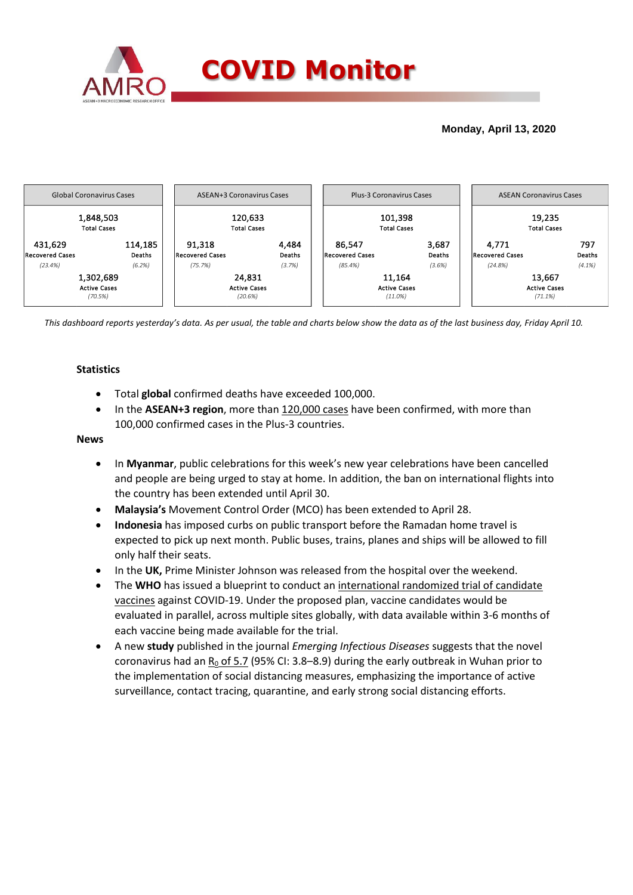

## **Monday, April 13, 2020**



*This dashboard reports yesterday's data. As per usual, the table and charts below show the data as of the last business day, Friday April 10.* 

### **Statistics**

- Total **global** confirmed deaths have exceeded 100,000.
- In the **ASEAN+3 region**, more than 120,000 cases have been confirmed, with more than 100,000 confirmed cases in the Plus-3 countries.

#### **News**

- In **Myanmar**, public celebrations for this week's new year celebrations have been cancelled and people are being urged to stay at home. In addition, the ban on international flights into the country has been extended until April 30.
- **Malaysia's** Movement Control Order (MCO) has been extended to April 28.
- **Indonesia** has imposed curbs on public transport before the Ramadan home travel is expected to pick up next month. Public buses, trains, planes and ships will be allowed to fill only half their seats.
- In the **UK,** Prime Minister Johnson was released from the hospital over the weekend.
- The **WHO** has issued a blueprint to conduct an international randomized trial of candidate vaccines against COVID-19. Under the proposed plan, vaccine candidates would be evaluated in parallel, across multiple sites globally, with data available within 3-6 months of each vaccine being made available for the trial.
- A new **study** published in the journal *Emerging Infectious Diseases* suggests that the novel coronavirus had an  $R_0$  of 5.7 (95% CI: 3.8–8.9) during the early outbreak in Wuhan prior to the implementation of social distancing measures, emphasizing the importance of active surveillance, contact tracing, quarantine, and early strong social distancing efforts.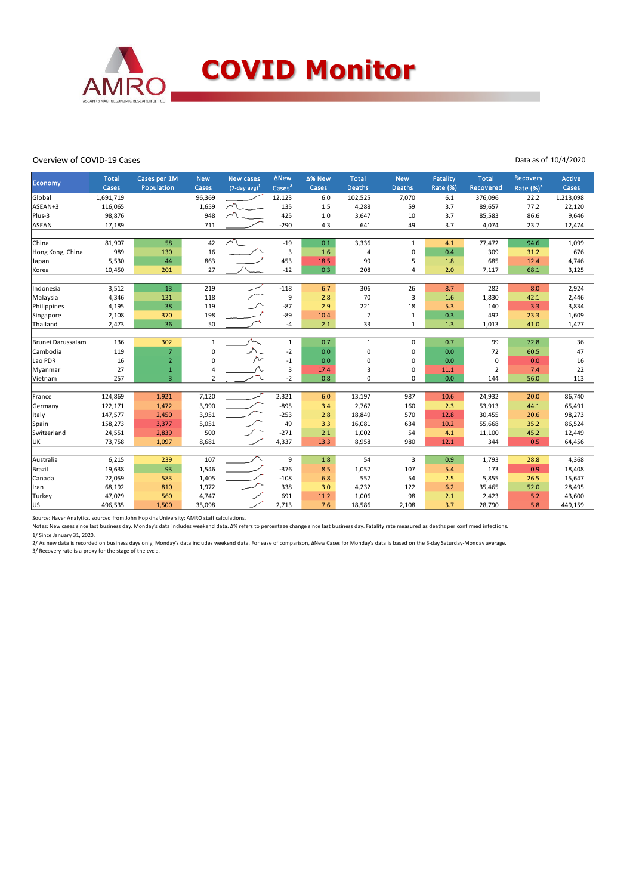

#### Overview of COVID-19 Cases

#### Data as of 10/4/2020

|                   | <b>Total</b>     | Cases per 1M   | <b>New</b>     | <b>New cases</b>            | <b>ANew</b>   | ∆% New     | <b>Total</b>   | <b>New</b>    | <b>Fatality</b> | <b>Total</b>    | Recovery      | Active           |
|-------------------|------------------|----------------|----------------|-----------------------------|---------------|------------|----------------|---------------|-----------------|-----------------|---------------|------------------|
| Economy           | Cases            | Population     | Cases          | $(7$ -day avg) <sup>1</sup> | $\text{Case}$ | Cases      | <b>Deaths</b>  | <b>Deaths</b> | <b>Rate (%)</b> | Recovered       | Rate $(\%)^3$ | Cases            |
| Global            | 1,691,719        |                | 96,369         |                             | 12,123        | 6.0        | 102,525        | 7,070         | 6.1             | 376,096         | 22.2          | 1,213,098        |
| ASEAN+3           | 116,065          |                | 1,659          | $\sim$                      | 135           | 1.5        | 4,288          | 59            | 3.7             | 89,657          | 77.2          | 22,120           |
| Plus-3            | 98,876           |                | 948            |                             | 425           | 1.0        | 3,647          | 10            | 3.7             | 85,583          | 86.6          | 9,646            |
| ASEAN             | 17,189           |                | 711            |                             | $-290$        | 4.3        | 641            | 49            | 3.7             | 4,074           | 23.7          | 12,474           |
|                   |                  |                |                |                             |               |            |                |               |                 |                 |               |                  |
| China             | 81,907           | 58             | 42             | $\sim$                      | $-19$         | 0.1        | 3,336          | $\mathbf{1}$  | 4.1             | 77,472          | 94.6          | 1,099            |
| Hong Kong, China  | 989              | 130            | 16             |                             | 3             | 1.6        | 4              | $\mathbf 0$   | 0.4             | 309             | 31.2          | 676              |
| Japan             | 5,530            | 44             | 863            |                             | 453           | 18.5       | 99             | 5             | 1.8             | 685             | 12.4          | 4,746            |
| Korea             | 10,450           | 201            | 27             |                             | $-12$         | 0.3        | 208            | 4             | 2.0             | 7,117           | 68.1          | 3,125            |
|                   |                  |                |                |                             |               |            |                |               |                 |                 |               |                  |
| Indonesia         | 3,512            | 13             | 219            |                             | $-118$        | 6.7        | 306            | 26            | 8.7             | 282             | 8.0           | 2,924            |
| Malaysia          | 4,346            | 131            | 118            |                             | 9             | 2.8        | 70             | 3             | 1.6             | 1,830           | 42.1          | 2,446            |
| Philippines       | 4,195            | 38             | 119            |                             | $-87$         | 2.9        | 221            | 18            | 5.3             | 140             | 3.3           | 3,834            |
| Singapore         | 2,108            | 370            | 198            |                             | $-89$         | 10.4       | $\overline{7}$ | 1             | 0.3             | 492             | 23.3          | 1,609            |
| Thailand          | 2,473            | 36             | 50             |                             | $-4$          | 2.1        | 33             | $\mathbf{1}$  | 1.3             | 1,013           | 41.0          | 1,427            |
|                   |                  |                |                |                             |               |            |                |               |                 |                 |               |                  |
| Brunei Darussalam | 136              | 302            | $\mathbf{1}$   |                             | $\mathbf{1}$  | 0.7        | $\mathbf{1}$   | 0             | 0.7             | 99              | 72.8          | 36               |
| Cambodia          | 119              | $\overline{7}$ | 0              |                             | $-2$          | 0.0        | 0              | $\mathbf 0$   | 0.0             | 72              | 60.5          | 47               |
| Lao PDR           | 16               | $\overline{2}$ | 0              |                             | $-1$          | 0.0        | 0              | $\mathbf 0$   | 0.0             | 0               | 0.0           | 16               |
| Myanmar           | 27               | $\mathbf{1}$   | 4              |                             | 3             | 17.4       | 3              | $\mathbf 0$   | 11.1            | $\overline{2}$  | 7.4           | 22               |
| Vietnam           | 257              | $\overline{3}$ | $\overline{2}$ |                             | $-2$          | 0.8        | 0              | 0             | 0.0             | 144             | 56.0          | 113              |
|                   |                  |                |                |                             |               |            |                |               |                 |                 |               |                  |
| France            | 124,869          | 1,921          | 7,120          |                             | 2,321         | 6.0        | 13,197         | 987           | 10.6            | 24,932          | 20.0          | 86,740           |
| Germany           | 122,171          | 1,472          | 3,990          |                             | $-895$        | 3.4        | 2,767          | 160           | 2.3             | 53,913          | 44.1          | 65,491           |
| Italy             | 147,577          | 2,450          | 3,951          |                             | $-253$        | 2.8        | 18,849         | 570           | 12.8            | 30,455          | 20.6          | 98,273           |
| Spain             | 158,273          | 3,377          | 5,051          |                             | 49            | 3.3        | 16,081         | 634           | 10.2            | 55,668          | 35.2          | 86,524           |
| Switzerland       | 24,551           | 2,839          | 500            |                             | $-271$        | 2.1        | 1,002          | 54            | 4.1             | 11,100          | 45.2          | 12,449           |
| <b>UK</b>         | 73,758           | 1,097          | 8,681          |                             | 4,337         | 13.3       | 8,958          | 980           | 12.1            | 344             | 0.5           | 64,456           |
| Australia         | 6,215            | 239            | 107            |                             | 9             | 1.8        | 54             | 3             | 0.9             | 1,793           | 28.8          | 4,368            |
| Brazil            | 19,638           | 93             | 1,546          |                             | $-376$        | 8.5        | 1,057          | 107           | 5.4             | 173             | 0.9           | 18,408           |
| Canada            |                  |                |                |                             |               |            | 557            | 54            |                 |                 |               |                  |
| Iran              | 22,059<br>68,192 | 583<br>810     | 1,405<br>1,972 |                             | $-108$<br>338 | 6.8<br>3.0 | 4,232          | 122           | 2.5<br>6.2      | 5,855<br>35,465 | 26.5<br>52.0  | 15,647<br>28,495 |
|                   | 47,029           | 560            |                |                             | 691           | 11.2       |                | 98            | 2.1             |                 | 5.2           |                  |
| Turkey            |                  |                | 4,747          |                             |               |            | 1,006          |               |                 | 2,423           | 5.8           | 43,600           |
| US                | 496,535          | 1,500          | 35,098         |                             | 2,713         | 7.6        | 18,586         | 2,108         | 3.7             | 28,790          |               | 449,159          |

Source: Haver Analytics, sourced from John Hopkins University; AMRO staff calculations.<br>Notes: New cases since last business day. Monday's data includes weekend data. Δ% refers to percentage change since last business day.

1/ Since January 31, 2020.

2/ As new data is recorded on business days only, Monday's data includes weekend data. For ease of comparison, ΔNew Cases for Monday's data is based on the 3-day Saturday-Monday average. 3/ Recovery rate is a proxy for the stage of the cycle.